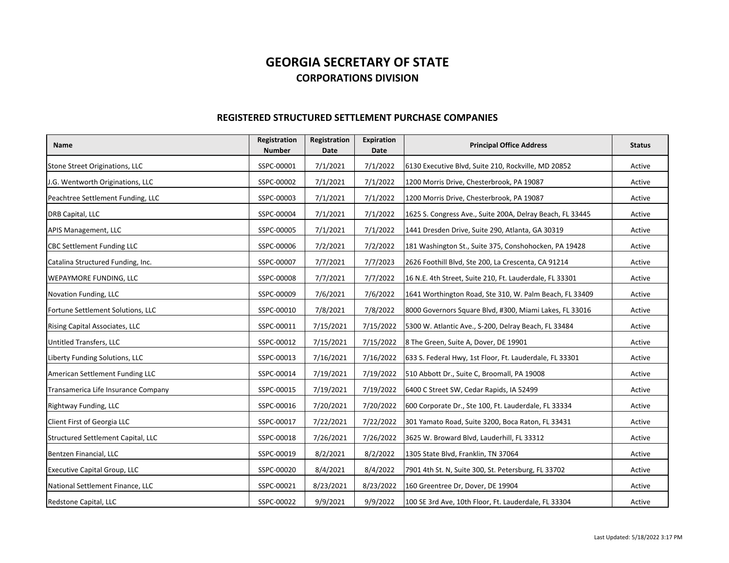## **GEORGIA SECRETARY OF STATECORPORATIONS DIVISION**

## **REGISTERED STRUCTURED SETTLEMENT PURCHASE COMPANIES**

| <b>Name</b>                         | Registration<br><b>Number</b> | Registration<br><b>Date</b> | Expiration<br><b>Date</b> | <b>Principal Office Address</b>                           | <b>Status</b> |
|-------------------------------------|-------------------------------|-----------------------------|---------------------------|-----------------------------------------------------------|---------------|
| Stone Street Originations, LLC      | SSPC-00001                    | 7/1/2021                    | 7/1/2022                  | 6130 Executive Blvd, Suite 210, Rockville, MD 20852       | Active        |
| J.G. Wentworth Originations, LLC    | SSPC-00002                    | 7/1/2021                    | 7/1/2022                  | 1200 Morris Drive, Chesterbrook, PA 19087                 | Active        |
| Peachtree Settlement Funding, LLC   | SSPC-00003                    | 7/1/2021                    | 7/1/2022                  | 1200 Morris Drive, Chesterbrook, PA 19087                 | Active        |
| DRB Capital, LLC                    | SSPC-00004                    | 7/1/2021                    | 7/1/2022                  | 1625 S. Congress Ave., Suite 200A, Delray Beach, FL 33445 | Active        |
| APIS Management, LLC                | SSPC-00005                    | 7/1/2021                    | 7/1/2022                  | 1441 Dresden Drive, Suite 290, Atlanta, GA 30319          | Active        |
| <b>CBC Settlement Funding LLC</b>   | SSPC-00006                    | 7/2/2021                    | 7/2/2022                  | 181 Washington St., Suite 375, Conshohocken, PA 19428     | Active        |
| Catalina Structured Funding, Inc.   | SSPC-00007                    | 7/7/2021                    | 7/7/2023                  | 2626 Foothill Blvd, Ste 200, La Crescenta, CA 91214       | Active        |
| WEPAYMORE FUNDING, LLC              | SSPC-00008                    | 7/7/2021                    | 7/7/2022                  | 16 N.E. 4th Street, Suite 210, Ft. Lauderdale, FL 33301   | Active        |
| Novation Funding, LLC               | SSPC-00009                    | 7/6/2021                    | 7/6/2022                  | 1641 Worthington Road, Ste 310, W. Palm Beach, FL 33409   | Active        |
| Fortune Settlement Solutions, LLC   | SSPC-00010                    | 7/8/2021                    | 7/8/2022                  | 8000 Governors Square Blvd, #300, Miami Lakes, FL 33016   | Active        |
| Rising Capital Associates, LLC      | SSPC-00011                    | 7/15/2021                   | 7/15/2022                 | 5300 W. Atlantic Ave., S-200, Delray Beach, FL 33484      | Active        |
| Untitled Transfers, LLC             | SSPC-00012                    | 7/15/2021                   | 7/15/2022                 | 8 The Green, Suite A, Dover, DE 19901                     | Active        |
| Liberty Funding Solutions, LLC      | SSPC-00013                    | 7/16/2021                   | 7/16/2022                 | 633 S. Federal Hwy, 1st Floor, Ft. Lauderdale, FL 33301   | Active        |
| American Settlement Funding LLC     | SSPC-00014                    | 7/19/2021                   | 7/19/2022                 | 510 Abbott Dr., Suite C, Broomall, PA 19008               | Active        |
| Transamerica Life Insurance Company | SSPC-00015                    | 7/19/2021                   | 7/19/2022                 | 6400 C Street SW, Cedar Rapids, IA 52499                  | Active        |
| Rightway Funding, LLC               | SSPC-00016                    | 7/20/2021                   | 7/20/2022                 | 600 Corporate Dr., Ste 100, Ft. Lauderdale, FL 33334      | Active        |
| Client First of Georgia LLC         | SSPC-00017                    | 7/22/2021                   | 7/22/2022                 | 301 Yamato Road, Suite 3200, Boca Raton, FL 33431         | Active        |
| Structured Settlement Capital, LLC  | SSPC-00018                    | 7/26/2021                   | 7/26/2022                 | 3625 W. Broward Blvd, Lauderhill, FL 33312                | Active        |
| Bentzen Financial, LLC              | SSPC-00019                    | 8/2/2021                    | 8/2/2022                  | 1305 State Blvd, Franklin, TN 37064                       | Active        |
| <b>Executive Capital Group, LLC</b> | SSPC-00020                    | 8/4/2021                    | 8/4/2022                  | 7901 4th St. N, Suite 300, St. Petersburg, FL 33702       | Active        |
| National Settlement Finance, LLC    | SSPC-00021                    | 8/23/2021                   | 8/23/2022                 | 160 Greentree Dr, Dover, DE 19904                         | Active        |
| Redstone Capital, LLC               | SSPC-00022                    | 9/9/2021                    | 9/9/2022                  | 100 SE 3rd Ave, 10th Floor, Ft. Lauderdale, FL 33304      | Active        |